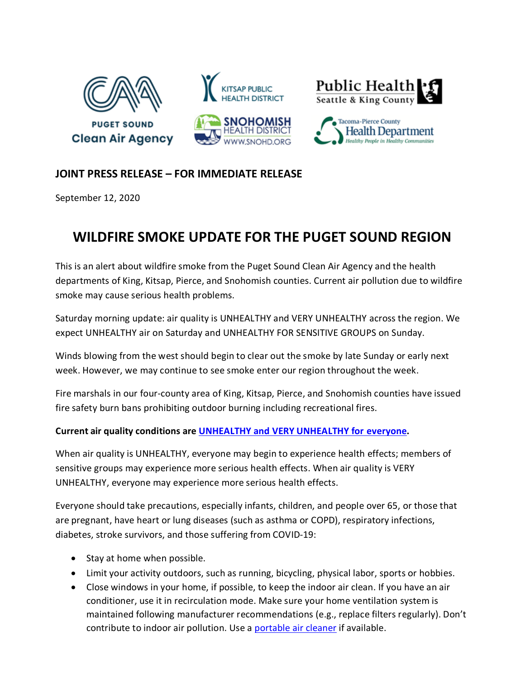

## **JOINT PRESS RELEASE – FOR IMMEDIATE RELEASE**

September 12, 2020

## **WILDFIRE SMOKE UPDATE FOR THE PUGET SOUND REGION**

This is an alert about wildfire smoke from the Puget Sound Clean Air Agency and the health departments of King, Kitsap, Pierce, and Snohomish counties. Current air pollution due to wildfire smoke may cause serious health problems.

Saturday morning update: air quality is UNHEALTHY and VERY UNHEALTHY across the region. We expect UNHEALTHY air on Saturday and UNHEALTHY FOR SENSITIVE GROUPS on Sunday.

Winds blowing from the west should begin to clear out the smoke by late Sunday or early next week. However, we may continue to see smoke enter our region throughout the week.

Fire marshals in our four-county area of King, Kitsap, Pierce, and Snohomish counties have issued fire safety burn bans prohibiting outdoor burning including recreational fires.

## **Current air quality conditions are [UNHEALTHY and VERY UNHEALTHY for everyone.](https://www.pscleanair.gov/165/About-the-Air-Quality-Index)**

When air quality is UNHEALTHY, everyone may begin to experience health effects; members of sensitive groups may experience more serious health effects. When air quality is VERY UNHEALTHY, everyone may experience more serious health effects.

Everyone should take precautions, especially infants, children, and people over 65, or those that are pregnant, have heart or lung diseases (such as asthma or COPD), respiratory infections, diabetes, stroke survivors, and those suffering from COVID-19:

- Stay at home when possible.
- Limit your activity outdoors, such as running, bicycling, physical labor, sports or hobbies.
- Close windows in your home, if possible, to keep the indoor air clean. If you have an air conditioner, use it in recirculation mode. Make sure your home ventilation system is maintained following manufacturer recommendations (e.g., replace filters regularly). Don't contribute to indoor air pollution. Use a [portable air cleaner](https://www.doh.wa.gov/CommunityandEnvironment/AirQuality/SmokeFromFires#q8) if available.